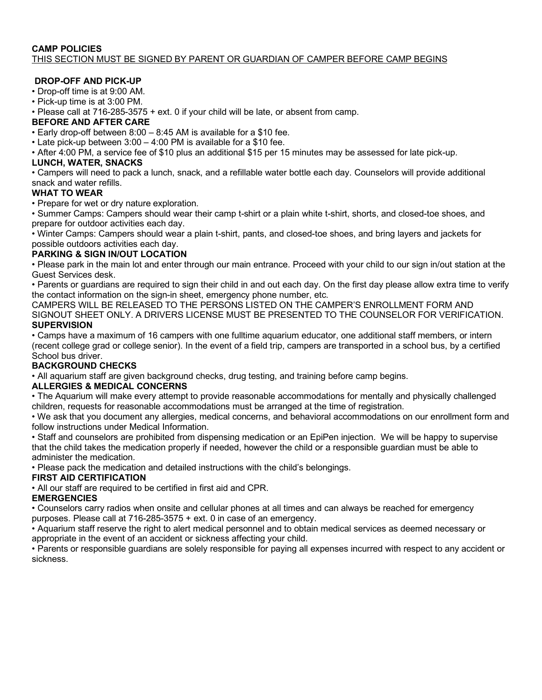# **DROP-OFF AND PICK-UP**

• Drop-off time is at 9:00 AM.

• Pick-up time is at 3:00 PM.

• Please call at 716-285-3575 + ext. 0 if your child will be late, or absent from camp.

## **BEFORE AND AFTER CARE**

• Early drop-off between 8:00 – 8:45 AM is available for a \$10 fee.

• Late pick-up between 3:00 – 4:00 PM is available for a \$10 fee.

• After 4:00 PM, a service fee of \$10 plus an additional \$15 per 15 minutes may be assessed for late pick-up.

#### **LUNCH, WATER, SNACKS**

• Campers will need to pack a lunch, snack, and a refillable water bottle each day. Counselors will provide additional snack and water refills.

#### **WHAT TO WEAR**

• Prepare for wet or dry nature exploration.

• Summer Camps: Campers should wear their camp t-shirt or a plain white t-shirt, shorts, and closed-toe shoes, and prepare for outdoor activities each day.

• Winter Camps: Campers should wear a plain t-shirt, pants, and closed-toe shoes, and bring layers and jackets for possible outdoors activities each day.

### **PARKING & SIGN IN/OUT LOCATION**

• Please park in the main lot and enter through our main entrance. Proceed with your child to our sign in/out station at the Guest Services desk.

• Parents or guardians are required to sign their child in and out each day. On the first day please allow extra time to verify the contact information on the sign-in sheet, emergency phone number, etc.

CAMPERS WILL BE RELEASED TO THE PERSONS LISTED ON THE CAMPER'S ENROLLMENT FORM AND SIGNOUT SHEET ONLY. A DRIVERS LICENSE MUST BE PRESENTED TO THE COUNSELOR FOR VERIFICATION. **SUPERVISION**

• Camps have a maximum of 16 campers with one fulltime aquarium educator, one additional staff members, or intern (recent college grad or college senior). In the event of a field trip, campers are transported in a school bus, by a certified School bus driver.

### **BACKGROUND CHECKS**

• All aquarium staff are given background checks, drug testing, and training before camp begins.

### **ALLERGIES & MEDICAL CONCERNS**

• The Aquarium will make every attempt to provide reasonable accommodations for mentally and physically challenged children, requests for reasonable accommodations must be arranged at the time of registration.

• We ask that you document any allergies, medical concerns, and behavioral accommodations on our enrollment form and follow instructions under Medical Information.

• Staff and counselors are prohibited from dispensing medication or an EpiPen injection. We will be happy to supervise that the child takes the medication properly if needed, however the child or a responsible guardian must be able to administer the medication.

• Please pack the medication and detailed instructions with the child's belongings.

## **FIRST AID CERTIFICATION**

• All our staff are required to be certified in first aid and CPR.

### **EMERGENCIES**

• Counselors carry radios when onsite and cellular phones at all times and can always be reached for emergency purposes. Please call at 716-285-3575 + ext. 0 in case of an emergency.

• Aquarium staff reserve the right to alert medical personnel and to obtain medical services as deemed necessary or appropriate in the event of an accident or sickness affecting your child.

• Parents or responsible guardians are solely responsible for paying all expenses incurred with respect to any accident or sickness.